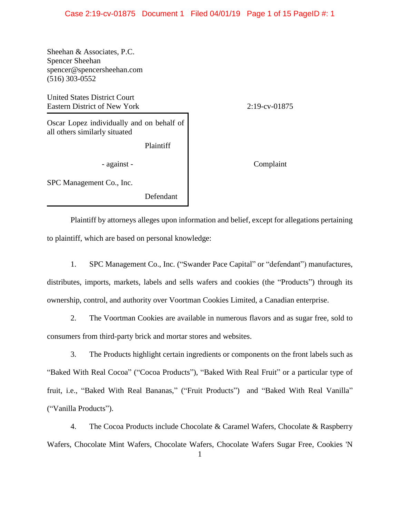## Case 2:19-cv-01875 Document 1 Filed 04/01/19 Page 1 of 15 PageID #: 1

Sheehan & Associates, P.C. Spencer Sheehan spencer@spencersheehan.com (516) 303-0552

United States District Court Eastern District of New York 2:19-cv-01875

Oscar Lopez individually and on behalf of all others similarly situated

Plaintiff

- against - The Complaint

SPC Management Co., Inc.

Defendant

Plaintiff by attorneys alleges upon information and belief, except for allegations pertaining to plaintiff, which are based on personal knowledge:

- 1. SPC Management Co., Inc. ("Swander Pace Capital" or "defendant") manufactures, distributes, imports, markets, labels and sells wafers and cookies (the "Products") through its ownership, control, and authority over Voortman Cookies Limited, a Canadian enterprise.
- 2. The Voortman Cookies are available in numerous flavors and as sugar free, sold to consumers from third-party brick and mortar stores and websites.

3. The Products highlight certain ingredients or components on the front labels such as "Baked With Real Cocoa" ("Cocoa Products"), "Baked With Real Fruit" or a particular type of fruit, i.e., "Baked With Real Bananas," ("Fruit Products") and "Baked With Real Vanilla" ("Vanilla Products").

4. The Cocoa Products include Chocolate & Caramel Wafers, Chocolate & Raspberry Wafers, Chocolate Mint Wafers, Chocolate Wafers, Chocolate Wafers Sugar Free, Cookies 'N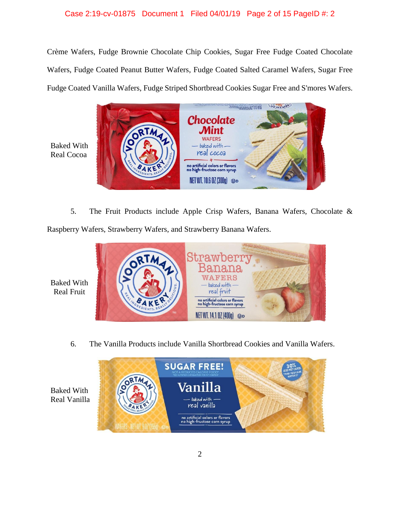## Case 2:19-cv-01875 Document 1 Filed 04/01/19 Page 2 of 15 PageID #: 2

Crème Wafers, Fudge Brownie Chocolate Chip Cookies, Sugar Free Fudge Coated Chocolate Wafers, Fudge Coated Peanut Butter Wafers, Fudge Coated Salted Caramel Wafers, Sugar Free Fudge Coated Vanilla Wafers, Fudge Striped Shortbread Cookies Sugar Free and S'mores Wafers.



Baked With Real Cocoa

5. The Fruit Products include Apple Crisp Wafers, Banana Wafers, Chocolate &

Raspberry Wafers, Strawberry Wafers, and Strawberry Banana Wafers.



6. The Vanilla Products include Vanilla Shortbread Cookies and Vanilla Wafers.



Baked With Real Vanilla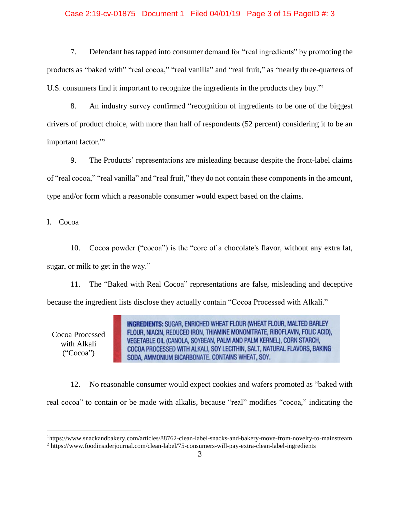## Case 2:19-cv-01875 Document 1 Filed 04/01/19 Page 3 of 15 PageID #: 3

7. Defendant has tapped into consumer demand for "real ingredients" by promoting the products as "baked with" "real cocoa," "real vanilla" and "real fruit," as "nearly three-quarters of U.S. consumers find it important to recognize the ingredients in the products they buy." 1

8. An industry survey confirmed "recognition of ingredients to be one of the biggest drivers of product choice, with more than half of respondents (52 percent) considering it to be an important factor." 2

9. The Products' representations are misleading because despite the front-label claims of "real cocoa," "real vanilla" and "real fruit," they do not contain these components in the amount, type and/or form which a reasonable consumer would expect based on the claims.

I. Cocoa

10. Cocoa powder ("cocoa") is the "core of a chocolate's flavor, without any extra fat, sugar, or milk to get in the way."

11. The "Baked with Real Cocoa" representations are false, misleading and deceptive because the ingredient lists disclose they actually contain "Cocoa Processed with Alkali."

Cocoa Processed with Alkali ("Cocoa")

 $\overline{a}$ 

**INGREDIENTS:** SUGAR, ENRICHED WHEAT FLOUR (WHEAT FLOUR, MALTED BARLEY FLOUR, NIACIN, REDUCED IRON, THIAMINE MONONITRATE, RIBOFLAVIN, FOLIC ACID), VEGETABLE OIL (CANOLA, SOYBEAN, PALM AND PALM KERNEL), CORN STARCH, COCOA PROCESSED WITH ALKALI, SOY LECITHIN, SALT, NATURAL FLAVORS, BAKING SODA, AMMONIUM BICARBONATE. CONTAINS WHEAT, SOY.

12. No reasonable consumer would expect cookies and wafers promoted as "baked with real cocoa" to contain or be made with alkalis, because "real" modifies "cocoa," indicating the

<sup>1</sup>https://www.snackandbakery.com/articles/88762-clean-label-snacks-and-bakery-move-from-novelty-to-mainstream <sup>2</sup> https://www.foodinsiderjournal.com/clean-label/75-consumers-will-pay-extra-clean-label-ingredients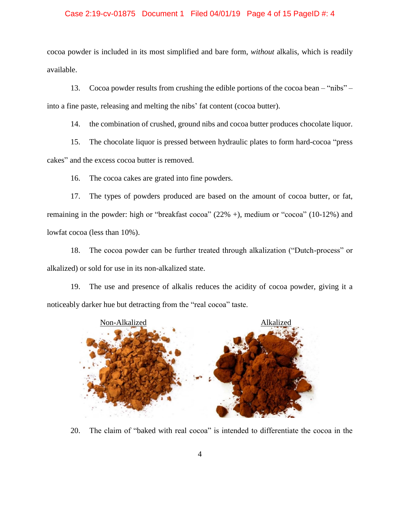## Case 2:19-cv-01875 Document 1 Filed 04/01/19 Page 4 of 15 PageID #: 4

cocoa powder is included in its most simplified and bare form, *without* alkalis, which is readily available.

13. Cocoa powder results from crushing the edible portions of the cocoa bean – "nibs" – into a fine paste, releasing and melting the nibs' fat content (cocoa butter).

14. the combination of crushed, ground nibs and cocoa butter produces chocolate liquor.

15. The chocolate liquor is pressed between hydraulic plates to form hard-cocoa "press cakes" and the excess cocoa butter is removed.

16. The cocoa cakes are grated into fine powders.

17. The types of powders produced are based on the amount of cocoa butter, or fat, remaining in the powder: high or "breakfast cocoa" (22% +), medium or "cocoa" (10-12%) and lowfat cocoa (less than 10%).

18. The cocoa powder can be further treated through alkalization ("Dutch-process" or alkalized) or sold for use in its non-alkalized state.

19. The use and presence of alkalis reduces the acidity of cocoa powder, giving it a noticeably darker hue but detracting from the "real cocoa" taste.



20. The claim of "baked with real cocoa" is intended to differentiate the cocoa in the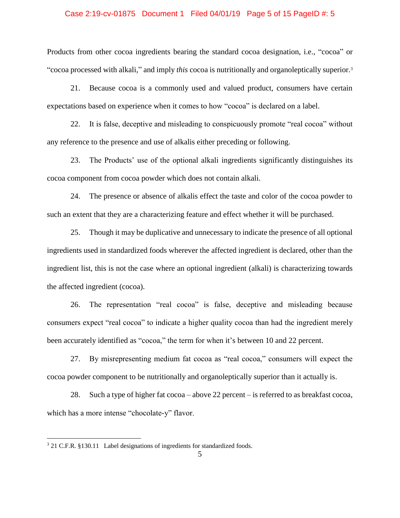## Case 2:19-cv-01875 Document 1 Filed 04/01/19 Page 5 of 15 PageID #: 5

Products from other cocoa ingredients bearing the standard cocoa designation, i.e., "cocoa" or "cocoa processed with alkali," and imply *this* cocoa is nutritionally and organoleptically superior.<sup>3</sup>

21. Because cocoa is a commonly used and valued product, consumers have certain expectations based on experience when it comes to how "cocoa" is declared on a label.

22. It is false, deceptive and misleading to conspicuously promote "real cocoa" without any reference to the presence and use of alkalis either preceding or following.

23. The Products' use of the optional alkali ingredients significantly distinguishes its cocoa component from cocoa powder which does not contain alkali.

24. The presence or absence of alkalis effect the taste and color of the cocoa powder to such an extent that they are a characterizing feature and effect whether it will be purchased.

25. Though it may be duplicative and unnecessary to indicate the presence of all optional ingredients used in standardized foods wherever the affected ingredient is declared, other than the ingredient list, this is not the case where an optional ingredient (alkali) is characterizing towards the affected ingredient (cocoa).

26. The representation "real cocoa" is false, deceptive and misleading because consumers expect "real cocoa" to indicate a higher quality cocoa than had the ingredient merely been accurately identified as "cocoa," the term for when it's between 10 and 22 percent.

27. By misrepresenting medium fat cocoa as "real cocoa," consumers will expect the cocoa powder component to be nutritionally and organoleptically superior than it actually is.

28. Such a type of higher fat cocoa – above 22 percent – is referred to as breakfast cocoa, which has a more intense "chocolate-y" flavor.

 $\overline{a}$ 

<sup>&</sup>lt;sup>3</sup> 21 C.F.R. §130.11 Label designations of ingredients for standardized foods.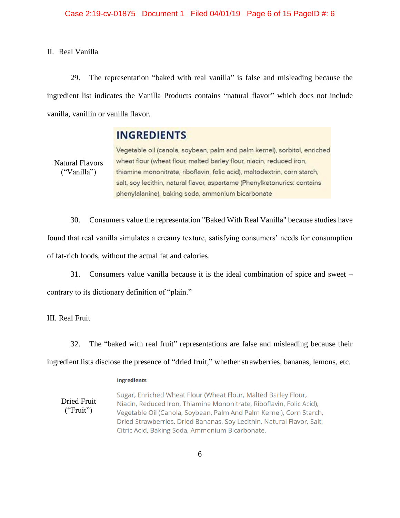II. Real Vanilla

29. The representation "baked with real vanilla" is false and misleading because the ingredient list indicates the Vanilla Products contains "natural flavor" which does not include vanilla, vanillin or vanilla flavor.

## **INGREDIENTS**

Natural Flavors ("Vanilla")

Vegetable oil (canola, soybean, palm and palm kernel), sorbitol, enriched wheat flour (wheat flour, malted barley flour, niacin, reduced iron, thiamine mononitrate, riboflavin, folic acid), maltodextrin, corn starch, salt, soy lecithin, natural flavor, aspartame (Phenylketonurics: contains phenylalanine), baking soda, ammonium bicarbonate

30. Consumers value the representation "Baked With Real Vanilla" because studies have found that real vanilla simulates a creamy texture, satisfying consumers' needs for consumption of fat-rich foods, without the actual fat and calories.

31. Consumers value vanilla because it is the ideal combination of spice and sweet – contrary to its dictionary definition of "plain."

III. Real Fruit

32. The "baked with real fruit" representations are false and misleading because their ingredient lists disclose the presence of "dried fruit," whether strawberries, bananas, lemons, etc.

#### **Ingredients**

Sugar, Enriched Wheat Flour (Wheat Flour, Malted Barley Flour, Dried Fruit Niacin, Reduced Iron, Thiamine Mononitrate, Riboflavin, Folic Acid), ("Fruit") Vegetable Oil (Canola, Soybean, Palm And Palm Kernel), Corn Starch, Dried Strawberries, Dried Bananas, Soy Lecithin, Natural Flavor, Salt, Citric Acid, Baking Soda, Ammonium Bicarbonate.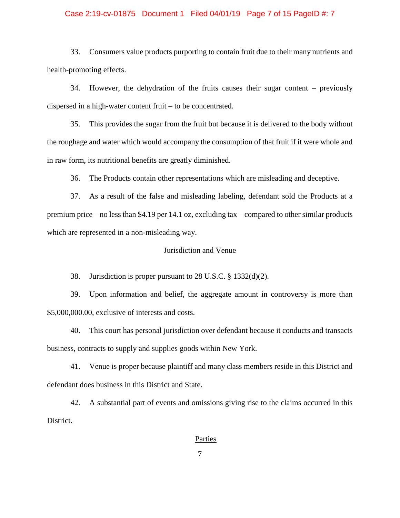## Case 2:19-cv-01875 Document 1 Filed 04/01/19 Page 7 of 15 PageID #: 7

33. Consumers value products purporting to contain fruit due to their many nutrients and health-promoting effects.

34. However, the dehydration of the fruits causes their sugar content – previously dispersed in a high-water content fruit – to be concentrated.

35. This provides the sugar from the fruit but because it is delivered to the body without the roughage and water which would accompany the consumption of that fruit if it were whole and in raw form, its nutritional benefits are greatly diminished.

36. The Products contain other representations which are misleading and deceptive.

37. As a result of the false and misleading labeling, defendant sold the Products at a premium price – no less than \$4.19 per 14.1 oz, excluding tax – compared to other similar products which are represented in a non-misleading way.

## Jurisdiction and Venue

38. Jurisdiction is proper pursuant to 28 U.S.C. § 1332(d)(2).

39. Upon information and belief, the aggregate amount in controversy is more than \$5,000,000.00, exclusive of interests and costs.

40. This court has personal jurisdiction over defendant because it conducts and transacts business, contracts to supply and supplies goods within New York.

41. Venue is proper because plaintiff and many class members reside in this District and defendant does business in this District and State.

42. A substantial part of events and omissions giving rise to the claims occurred in this District.

## **Parties**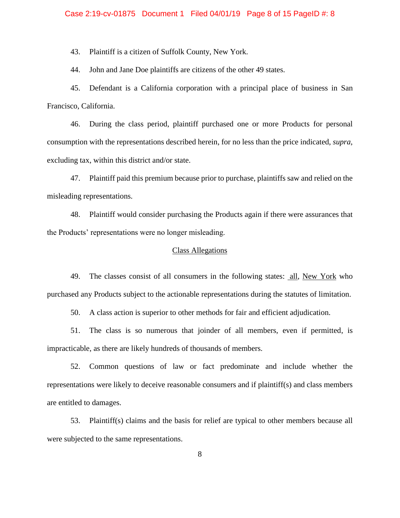## Case 2:19-cv-01875 Document 1 Filed 04/01/19 Page 8 of 15 PageID #: 8

43. Plaintiff is a citizen of Suffolk County, New York.

44. John and Jane Doe plaintiffs are citizens of the other 49 states.

45. Defendant is a California corporation with a principal place of business in San Francisco, California.

46. During the class period, plaintiff purchased one or more Products for personal consumption with the representations described herein, for no less than the price indicated, *supra*, excluding tax, within this district and/or state.

47. Plaintiff paid this premium because prior to purchase, plaintiffs saw and relied on the misleading representations.

48. Plaintiff would consider purchasing the Products again if there were assurances that the Products' representations were no longer misleading.

## Class Allegations

49. The classes consist of all consumers in the following states: all, New York who purchased any Products subject to the actionable representations during the statutes of limitation.

50. A class action is superior to other methods for fair and efficient adjudication.

51. The class is so numerous that joinder of all members, even if permitted, is impracticable, as there are likely hundreds of thousands of members.

52. Common questions of law or fact predominate and include whether the representations were likely to deceive reasonable consumers and if plaintiff(s) and class members are entitled to damages.

53. Plaintiff(s) claims and the basis for relief are typical to other members because all were subjected to the same representations.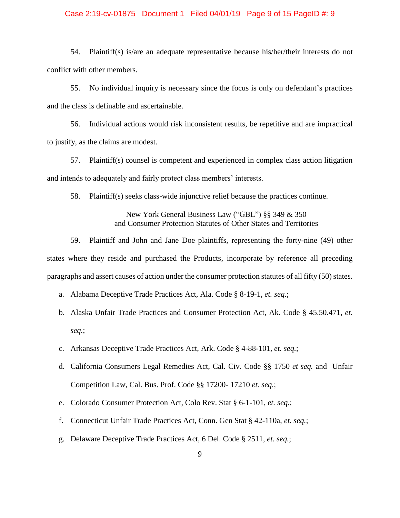## Case 2:19-cv-01875 Document 1 Filed 04/01/19 Page 9 of 15 PageID #: 9

54. Plaintiff(s) is/are an adequate representative because his/her/their interests do not conflict with other members.

55. No individual inquiry is necessary since the focus is only on defendant's practices and the class is definable and ascertainable.

56. Individual actions would risk inconsistent results, be repetitive and are impractical to justify, as the claims are modest.

57. Plaintiff(s) counsel is competent and experienced in complex class action litigation and intends to adequately and fairly protect class members' interests.

58. Plaintiff(s) seeks class-wide injunctive relief because the practices continue.

## New York General Business Law ("GBL") §§ 349 & 350 and Consumer Protection Statutes of Other States and Territories

59. Plaintiff and John and Jane Doe plaintiffs, representing the forty-nine (49) other states where they reside and purchased the Products, incorporate by reference all preceding paragraphs and assert causes of action under the consumer protection statutes of all fifty (50) states.

- a. Alabama Deceptive Trade Practices Act, Ala. Code § 8-19-1, *et. seq.*;
- b. Alaska Unfair Trade Practices and Consumer Protection Act, Ak. Code § 45.50.471, *et. seq.*;
- c. Arkansas Deceptive Trade Practices Act, Ark. Code § 4-88-101, *et. seq.*;
- d. California Consumers Legal Remedies Act, Cal. Civ. Code §§ 1750 *et seq.* and Unfair Competition Law, Cal. Bus. Prof. Code §§ 17200- 17210 *et. seq.*;
- e. Colorado Consumer Protection Act, Colo Rev. Stat § 6-1-101, *et. seq.*;
- f. Connecticut Unfair Trade Practices Act, Conn. Gen Stat § 42-110a, *et. seq.*;
- g. Delaware Deceptive Trade Practices Act, 6 Del. Code § 2511, *et. seq.*;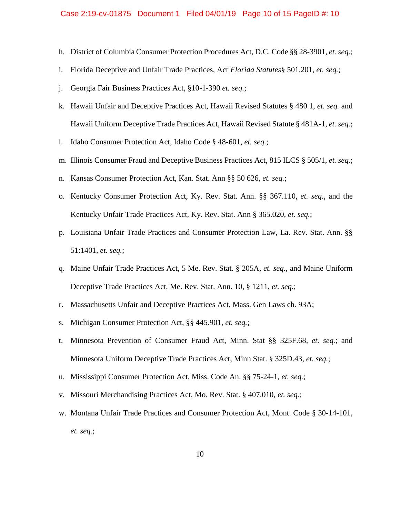#### Case 2:19-cv-01875 Document 1 Filed 04/01/19 Page 10 of 15 PageID #: 10

- h. District of Columbia Consumer Protection Procedures Act, D.C. Code §§ 28-3901, *et. seq.*;
- i. Florida Deceptive and Unfair Trade Practices, Act *Florida Statutes*§ 501.201, *et. seq.*;
- j. Georgia Fair Business Practices Act, §10-1-390 *et. seq.*;
- k. Hawaii Unfair and Deceptive Practices Act, Hawaii Revised Statutes § 480 1, *et. seq.* and Hawaii Uniform Deceptive Trade Practices Act, Hawaii Revised Statute § 481A-1, *et. seq.*;
- l. Idaho Consumer Protection Act, Idaho Code § 48-601, *et. seq.*;
- m. Illinois Consumer Fraud and Deceptive Business Practices Act, 815 ILCS § 505/1, *et. seq.*;
- n. Kansas Consumer Protection Act, Kan. Stat. Ann §§ 50 626, *et. seq.*;
- o. Kentucky Consumer Protection Act, Ky. Rev. Stat. Ann. §§ 367.110, *et. seq.*, and the Kentucky Unfair Trade Practices Act, Ky. Rev. Stat. Ann § 365.020, *et. seq.*;
- p. Louisiana Unfair Trade Practices and Consumer Protection Law, La. Rev. Stat. Ann. §§ 51:1401, *et. seq.*;
- q. Maine Unfair Trade Practices Act, 5 Me. Rev. Stat. § 205A, *et. seq.*, and Maine Uniform Deceptive Trade Practices Act, Me. Rev. Stat. Ann. 10, § 1211, *et. seq.*;
- r. Massachusetts Unfair and Deceptive Practices Act, Mass. Gen Laws ch. 93A;
- s. Michigan Consumer Protection Act, §§ 445.901, *et. seq.*;
- t. Minnesota Prevention of Consumer Fraud Act, Minn. Stat §§ 325F.68, *et. seq.*; and Minnesota Uniform Deceptive Trade Practices Act, Minn Stat. § 325D.43, *et. seq.*;
- u. Mississippi Consumer Protection Act, Miss. Code An. §§ 75-24-1, *et. seq.*;
- v. Missouri Merchandising Practices Act, Mo. Rev. Stat. § 407.010, *et. seq.*;
- w. Montana Unfair Trade Practices and Consumer Protection Act, Mont. Code § 30-14-101, *et. seq.*;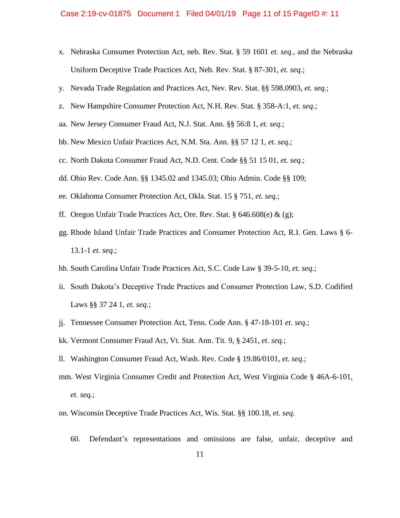- x. Nebraska Consumer Protection Act, neb. Rev. Stat. § 59 1601 *et. seq.*, and the Nebraska Uniform Deceptive Trade Practices Act, Neb. Rev. Stat. § 87-301, *et. seq.*;
- y. Nevada Trade Regulation and Practices Act, Nev. Rev. Stat. §§ 598.0903, *et. seq.*;
- z. New Hampshire Consumer Protection Act, N.H. Rev. Stat. § 358-A:1, *et. seq.*;
- aa. New Jersey Consumer Fraud Act, N.J. Stat. Ann. §§ 56:8 1, *et. seq.*;
- bb. New Mexico Unfair Practices Act, N.M. Sta. Ann. §§ 57 12 1, *et. seq.*;
- cc. North Dakota Consumer Fraud Act, N.D. Cent. Code §§ 51 15 01, *et. seq.*;
- dd. Ohio Rev. Code Ann. §§ 1345.02 and 1345.03; Ohio Admin. Code §§ 109;
- ee. Oklahoma Consumer Protection Act, Okla. Stat. 15 § 751, *et. seq.*;
- ff. Oregon Unfair Trade Practices Act, Ore. Rev. Stat.  $\S 646.608(e) \& (g)$ ;
- gg. Rhode Island Unfair Trade Practices and Consumer Protection Act, R.I. Gen. Laws § 6- 13.1-1 *et. seq.*;
- hh. South Carolina Unfair Trade Practices Act, S.C. Code Law § 39-5-10, *et. seq.*;
- ii. South Dakota's Deceptive Trade Practices and Consumer Protection Law, S.D. Codified Laws §§ 37 24 1, *et. seq.*;
- jj. Tennessee Consumer Protection Act, Tenn. Code Ann. § 47-18-101 *et. seq.*;
- kk. Vermont Consumer Fraud Act, Vt. Stat. Ann. Tit. 9, § 2451, *et. seq.*;
- ll. Washington Consumer Fraud Act, Wash. Rev. Code § 19.86/0101, *et. seq.*;
- mm. West Virginia Consumer Credit and Protection Act, West Virginia Code § 46A-6-101, *et. seq.*;
- nn. Wisconsin Deceptive Trade Practices Act, Wis. Stat. §§ 100.18, *et. seq.*
	- 60. Defendant's representations and omissions are false, unfair, deceptive and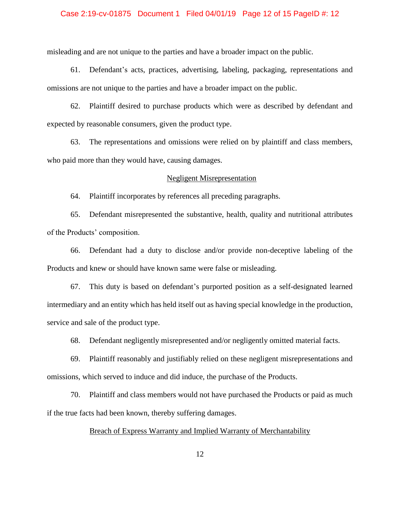## Case 2:19-cv-01875 Document 1 Filed 04/01/19 Page 12 of 15 PageID #: 12

misleading and are not unique to the parties and have a broader impact on the public.

61. Defendant's acts, practices, advertising, labeling, packaging, representations and omissions are not unique to the parties and have a broader impact on the public.

62. Plaintiff desired to purchase products which were as described by defendant and expected by reasonable consumers, given the product type.

63. The representations and omissions were relied on by plaintiff and class members, who paid more than they would have, causing damages.

## Negligent Misrepresentation

64. Plaintiff incorporates by references all preceding paragraphs.

65. Defendant misrepresented the substantive, health, quality and nutritional attributes of the Products' composition.

66. Defendant had a duty to disclose and/or provide non-deceptive labeling of the Products and knew or should have known same were false or misleading.

67. This duty is based on defendant's purported position as a self-designated learned intermediary and an entity which has held itself out as having special knowledge in the production, service and sale of the product type.

68. Defendant negligently misrepresented and/or negligently omitted material facts.

69. Plaintiff reasonably and justifiably relied on these negligent misrepresentations and omissions, which served to induce and did induce, the purchase of the Products.

70. Plaintiff and class members would not have purchased the Products or paid as much if the true facts had been known, thereby suffering damages.

## Breach of Express Warranty and Implied Warranty of Merchantability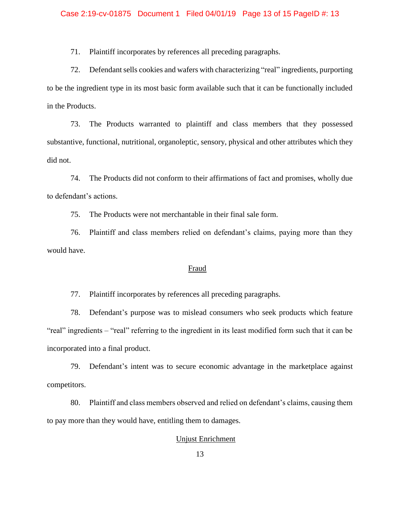## Case 2:19-cv-01875 Document 1 Filed 04/01/19 Page 13 of 15 PageID #: 13

71. Plaintiff incorporates by references all preceding paragraphs.

72. Defendant sells cookies and wafers with characterizing "real" ingredients, purporting to be the ingredient type in its most basic form available such that it can be functionally included in the Products.

73. The Products warranted to plaintiff and class members that they possessed substantive, functional, nutritional, organoleptic, sensory, physical and other attributes which they did not.

74. The Products did not conform to their affirmations of fact and promises, wholly due to defendant's actions.

75. The Products were not merchantable in their final sale form.

76. Plaintiff and class members relied on defendant's claims, paying more than they would have.

## Fraud

77. Plaintiff incorporates by references all preceding paragraphs.

78. Defendant's purpose was to mislead consumers who seek products which feature "real" ingredients – "real" referring to the ingredient in its least modified form such that it can be incorporated into a final product.

79. Defendant's intent was to secure economic advantage in the marketplace against competitors.

80. Plaintiff and class members observed and relied on defendant's claims, causing them to pay more than they would have, entitling them to damages.

## Unjust Enrichment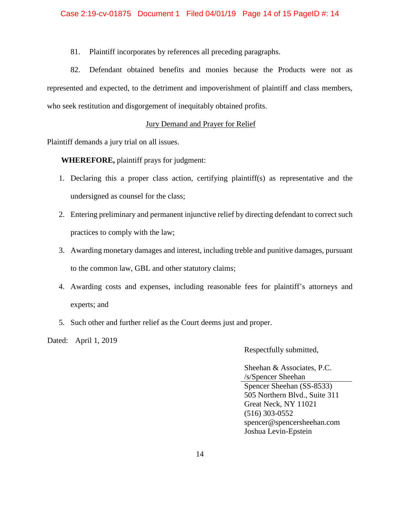81. Plaintiff incorporates by references all preceding paragraphs.

82. Defendant obtained benefits and monies because the Products were not as represented and expected, to the detriment and impoverishment of plaintiff and class members, who seek restitution and disgorgement of inequitably obtained profits.

## Jury Demand and Prayer for Relief

Plaintiff demands a jury trial on all issues.

**WHEREFORE,** plaintiff prays for judgment:

- 1. Declaring this a proper class action, certifying plaintiff(s) as representative and the undersigned as counsel for the class;
- 2. Entering preliminary and permanent injunctive relief by directing defendant to correct such practices to comply with the law;
- 3. Awarding monetary damages and interest, including treble and punitive damages, pursuant to the common law, GBL and other statutory claims;
- 4. Awarding costs and expenses, including reasonable fees for plaintiff's attorneys and experts; and
- 5. Such other and further relief as the Court deems just and proper.

Dated: April 1, 2019

Respectfully submitted,

Sheehan & Associates, P.C. /s/Spencer Sheehan Spencer Sheehan (SS-8533) 505 Northern Blvd., Suite 311 Great Neck, NY 11021 (516) 303-0552 spencer@spencersheehan.com Joshua Levin-Epstein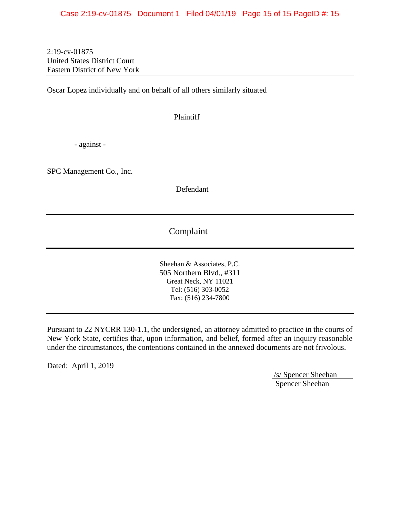2:19-cv-01875 United States District Court Eastern District of New York

Oscar Lopez individually and on behalf of all others similarly situated

Plaintiff

- against -

SPC Management Co., Inc.

Defendant

## Complaint

Sheehan & Associates, P.C. 505 Northern Blvd., #311 Great Neck, NY 11021 Tel: (516) 303-0052 Fax: (516) 234-7800

Pursuant to 22 NYCRR 130-1.1, the undersigned, an attorney admitted to practice in the courts of New York State, certifies that, upon information, and belief, formed after an inquiry reasonable under the circumstances, the contentions contained in the annexed documents are not frivolous.

Dated: April 1, 2019

/s/ Spencer Sheehan Spencer Sheehan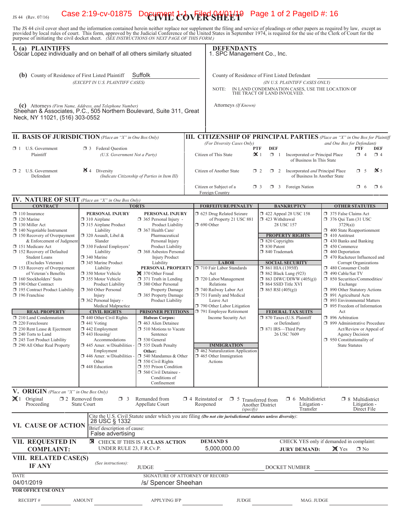# IS 44 (Rev. 07/16) **Case 2:19-cv-01875 Document + dvFiled 04/01/19** Page 1 of 2 PageID #: 16

The JS 44 civil cover sheet and the information contained herein neither replace nor supplement the filing and service of pleadings or other papers as required by law, except as provided by local rules of court. This form,

| I. (a) PLAINTIFFS<br>Oscar Lopez individually and on behalf of all others similarly situated                                                                                                                                                |                                                                                                                                                                                    |                                                                                                                                                                                                                      |                                                                                                                                  | <b>DEFENDANTS</b><br>1. SPC Management Co., Inc.                                                                                                                           |                                                                                                                                                                        |                                                                                                                                                                                                                                       |  |
|---------------------------------------------------------------------------------------------------------------------------------------------------------------------------------------------------------------------------------------------|------------------------------------------------------------------------------------------------------------------------------------------------------------------------------------|----------------------------------------------------------------------------------------------------------------------------------------------------------------------------------------------------------------------|----------------------------------------------------------------------------------------------------------------------------------|----------------------------------------------------------------------------------------------------------------------------------------------------------------------------|------------------------------------------------------------------------------------------------------------------------------------------------------------------------|---------------------------------------------------------------------------------------------------------------------------------------------------------------------------------------------------------------------------------------|--|
| <b>(b)</b> County of Residence of First Listed Plaintiff<br>Suffolk<br>(EXCEPT IN U.S. PLAINTIFF CASES)                                                                                                                                     |                                                                                                                                                                                    |                                                                                                                                                                                                                      |                                                                                                                                  | County of Residence of First Listed Defendant<br>(IN U.S. PLAINTIFF CASES ONLY)<br>IN LAND CONDEMNATION CASES, USE THE LOCATION OF<br>NOTE:<br>THE TRACT OF LAND INVOLVED. |                                                                                                                                                                        |                                                                                                                                                                                                                                       |  |
| (c) Attorneys (Firm Name, Address, and Telephone Number)<br>Sheehan & Associates, P.C., 505 Northern Boulevard, Suite 311, Great<br>Neck, NY 11021, (516) 303-0552                                                                          |                                                                                                                                                                                    |                                                                                                                                                                                                                      |                                                                                                                                  | Attorneys (If Known)                                                                                                                                                       |                                                                                                                                                                        |                                                                                                                                                                                                                                       |  |
| II. BASIS OF JURISDICTION (Place an "X" in One Box Only)                                                                                                                                                                                    |                                                                                                                                                                                    |                                                                                                                                                                                                                      |                                                                                                                                  |                                                                                                                                                                            |                                                                                                                                                                        | III. CITIZENSHIP OF PRINCIPAL PARTIES (Place an "X" in One Box for Plaintiff                                                                                                                                                          |  |
| $\Box$ 1 U.S. Government<br>Plaintiff                                                                                                                                                                                                       | <b>3</b> Federal Question                                                                                                                                                          | (U.S. Government Not a Party)                                                                                                                                                                                        |                                                                                                                                  | (For Diversity Cases Only)<br><b>PTF</b><br>$\mathbf{\times}1$<br>Citizen of This State                                                                                    | <b>DEF</b><br>$\Box$ 1<br>Incorporated or Principal Place<br>of Business In This State                                                                                 | and One Box for Defendant)<br>PTF<br><b>DEF</b><br>$\Box$ 4<br>$\Box$ 4                                                                                                                                                               |  |
| $\Box$ 2 U.S. Government<br>Defendant                                                                                                                                                                                                       | $\mathbf{\geq}$ 4 Diversity                                                                                                                                                        | (Indicate Citizenship of Parties in Item III)                                                                                                                                                                        |                                                                                                                                  | $\mathbf{\times}$ 5<br>Citizen of Another State<br>$\Box$ 5<br>$\Box$ 2<br>1 2 Incorporated <i>and</i> Principal Place<br>of Business In Another State                     |                                                                                                                                                                        |                                                                                                                                                                                                                                       |  |
|                                                                                                                                                                                                                                             |                                                                                                                                                                                    |                                                                                                                                                                                                                      |                                                                                                                                  | Citizen or Subject of a<br>$\Box$ 3<br>Foreign Country                                                                                                                     | $\Box$ 3 Foreign Nation                                                                                                                                                | $\Box$ 6<br>$\Box$ 6                                                                                                                                                                                                                  |  |
| IV. NATURE OF SUIT (Place an "X" in One Box Only)<br><b>CONTRACT</b>                                                                                                                                                                        |                                                                                                                                                                                    | <b>TORTS</b>                                                                                                                                                                                                         |                                                                                                                                  | <b>FORFEITURE/PENALTY</b>                                                                                                                                                  | <b>BANKRUPTCY</b>                                                                                                                                                      | <b>OTHER STATUTES</b>                                                                                                                                                                                                                 |  |
| $\Box$ 110 Insurance<br>$\Box$ 120 Marine<br>$\Box$ 130 Miller Act<br>$\Box$ 140 Negotiable Instrument<br>150 Recovery of Overpayment<br>& Enforcement of Judgment<br>151 Medicare Act<br>152 Recovery of Defaulted<br><b>Student Loans</b> | PERSONAL INJURY<br>$\Box$ 310 Airplane<br>315 Airplane Product<br>Liability<br>$\Box$ 320 Assault, Libel &<br>Slander<br>330 Federal Employers'<br>Liability<br>340 Marine         | PERSONAL INJURY<br>$\Box$ 365 Personal Injury -<br>Product Liability<br>$\Box$ 367 Health Care/<br>Pharmaceutical<br>Personal Injury<br>Product Liability<br><b>1</b> 368 Asbestos Personal<br><b>Injury Product</b> | 5 625 Drug Related Seizure<br>of Property 21 USC 881<br>$\Box$ 690 Other                                                         |                                                                                                                                                                            | 1422 Appeal 28 USC 158<br>423 Withdrawal<br>28 USC 157<br><b>PROPERTY RIGHTS</b><br>□ 820 Copyrights<br>□ 830 Patent<br>$\Box$ 840 Trademark                           | 375 False Claims Act<br>$\Box$ 376 Qui Tam (31 USC<br>3729(a)<br>400 State Reapportionment<br>$\Box$ 410 Antitrust<br>$\Box$ 430 Banks and Banking<br>$\Box$ 450 Commerce<br>$\Box$ 460 Deportation<br>1 470 Racketeer Influenced and |  |
| (Excludes Veterans)<br>153 Recovery of Overpayment<br>of Veteran's Benefits<br>160 Stockholders' Suits<br>190 Other Contract<br>□ 195 Contract Product Liability<br>196 Franchise                                                           | 345 Marine Product<br>Liability<br>□ 350 Motor Vehicle<br>□ 355 Motor Vehicle<br>Product Liability<br>360 Other Personal<br>Injury<br>362 Personal Injury -<br>Medical Malpractice | Liability<br>370 Other Fraud<br>$\Box$ 371 Truth in Lending<br>380 Other Personal<br><b>Property Damage</b><br>385 Property Damage<br>Product Liability                                                              |                                                                                                                                  | <b>LABOR</b><br>PERSONAL PROPERTY J 710 Fair Labor Standards<br>Act<br>720 Labor/Management<br>Relations<br>740 Railway Labor Act<br>751 Family and Medical<br>Leave Act   | <b>SOCIAL SECURITY</b><br>$\Box$ 861 HIA (1395ff)<br><b>1 862 Black Lung (923)</b><br>$\Box$ 863 DIWC/DIWW (405(g))<br>□ 864 SSID Title XVI<br>$\Box$ 865 RSI (405(g)) | Corrupt Organizations<br>480 Consumer Credit<br>490 Cable/Sat TV<br>51 850 Securities/Commodities/<br>Exchange<br>1 890 Other Statutory Actions<br>□ 891 Agricultural Acts<br>5 893 Environmental Matters                             |  |
| <b>REAL PROPERTY</b><br>210 Land Condemnation<br>220 Foreclosure<br>230 Rent Lease & Ejectment<br>□ 240 Torts to Land<br>245 Tort Product Liability<br>290 All Other Real Property                                                          | <b>CIVIL RIGHTS</b><br>$\Box$ 440 Other Civil Rights<br>$\Box$ 441 Voting<br>$\Box$ 442 Employment<br>$\Box$ 443 Housing/<br>Accommodations                                        | <b>PRISONER PETITIONS</b><br><b>Habeas Corpus:</b><br>463 Alien Detainee<br>$\Box$ 510 Motions to Vacate<br>Sentence<br>530 General                                                                                  | 790 Other Labor Litigation<br>791 Employee Retirement<br>Income Security Act                                                     |                                                                                                                                                                            | <b>FEDERAL TAX SUITS</b><br>7 870 Taxes (U.S. Plaintiff<br>or Defendant)<br>□ 871 IRS-Third Party<br>26 USC 7609                                                       | 5 895 Freedom of Information<br>Act<br>□ 896 Arbitration<br>□ 899 Administrative Procedure<br>Act/Review or Appeal of<br>Agency Decision<br>$\Box$ 950 Constitutionality of                                                           |  |
|                                                                                                                                                                                                                                             | $\Box$ 445 Amer. w/Disabilities -<br>Employment<br>446 Amer. w/Disabilities -<br>Other<br>448 Education                                                                            | 535 Death Penalty<br>Other:<br>□ 540 Mandamus & Other<br>$\Box$ 550 Civil Rights<br>555 Prison Condition<br>560 Civil Detainee -<br>Conditions of<br>Confinement                                                     |                                                                                                                                  | <b>IMMIGRATION</b><br>462 Naturalization Application<br>$\Box$ 465 Other Immigration<br>Actions                                                                            |                                                                                                                                                                        | <b>State Statutes</b>                                                                                                                                                                                                                 |  |
| V. ORIGIN (Place an "X" in One Box Only)                                                                                                                                                                                                    |                                                                                                                                                                                    |                                                                                                                                                                                                                      |                                                                                                                                  |                                                                                                                                                                            |                                                                                                                                                                        |                                                                                                                                                                                                                                       |  |
| $\mathbf{X}$ 1 Original<br>Proceeding                                                                                                                                                                                                       | $\square$ 2 Removed from<br>$\Box$ 3<br><b>State Court</b>                                                                                                                         | Remanded from<br>Appellate Court                                                                                                                                                                                     | Reopened                                                                                                                         | $\Box$ 4 Reinstated or $\Box$ 5 Transferred from<br>(specify)                                                                                                              | Multidistrict<br>$\Box$ 6<br>Litigation -<br><b>Another District</b><br>Transfer                                                                                       | $\Box$ 8 Multidistrict<br>Litigation -<br>Direct File                                                                                                                                                                                 |  |
| VI. CAUSE OF ACTION                                                                                                                                                                                                                         | 28 USC § 1332<br>Brief description of cause:<br>False advertising                                                                                                                  | Cite the U.S. Civil Statute under which you are filing (Do not cite jurisdictional statutes unless diversity):                                                                                                       |                                                                                                                                  |                                                                                                                                                                            |                                                                                                                                                                        |                                                                                                                                                                                                                                       |  |
| VII. REQUESTED IN<br>⊠<br>CHECK IF THIS IS A CLASS ACTION<br>UNDER RULE 23, F.R.Cv.P.<br><b>COMPLAINT:</b>                                                                                                                                  |                                                                                                                                                                                    |                                                                                                                                                                                                                      | CHECK YES only if demanded in complaint:<br><b>DEMAND \$</b><br>5,000,000.00<br><b>X</b> Yes<br>$\Box$ No<br><b>JURY DEMAND:</b> |                                                                                                                                                                            |                                                                                                                                                                        |                                                                                                                                                                                                                                       |  |
| VIII. RELATED CASE(S)<br>(See instructions):<br><b>IF ANY</b><br><b>JUDGE</b>                                                                                                                                                               |                                                                                                                                                                                    |                                                                                                                                                                                                                      | DOCKET NUMBER                                                                                                                    |                                                                                                                                                                            |                                                                                                                                                                        |                                                                                                                                                                                                                                       |  |
| <b>DATE</b><br>04/01/2019<br><b>FOR OFFICE USE ONLY</b>                                                                                                                                                                                     |                                                                                                                                                                                    | SIGNATURE OF ATTORNEY OF RECORD<br>/s/ Spencer Sheehan                                                                                                                                                               |                                                                                                                                  |                                                                                                                                                                            |                                                                                                                                                                        |                                                                                                                                                                                                                                       |  |
| <b>RECEIPT#</b>                                                                                                                                                                                                                             | <b>AMOUNT</b>                                                                                                                                                                      | <b>APPLYING IFP</b>                                                                                                                                                                                                  |                                                                                                                                  | <b>JUDGE</b>                                                                                                                                                               | MAG. JUDGE                                                                                                                                                             |                                                                                                                                                                                                                                       |  |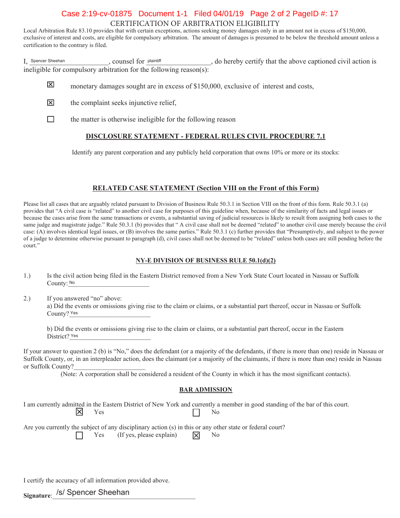## CERTIFICATION OF ARBITRATION ELIGIBILITY Case 2:19-cv-01875 Document 1-1 Filed 04/01/19 Page 2 of 2 PageID #: 17

Local Arbitration Rule 83.10 provides that with certain exceptions, actions seeking money damages only in an amount not in excess of \$150,000, exclusive of interest and costs, are eligible for compulsory arbitration. The amount of damages is presumed to be below the threshold amount unless a certification to the contrary is filed.

I, Spencer Sheehan counsel for plaintiff and the above captioned civil action is ineligible for compulsory arbitration for the following reason(s): Spencer Sheehan **player counting that Spencer Sheehan** 

- 冈 monetary damages sought are in excess of \$150,000, exclusive of interest and costs,
- 冈 the complaint seeks injunctive relief.
- $\Box$ the matter is otherwise ineligible for the following reason

## **DISCLOSURE STATEMENT - FEDERAL RULES CIVIL PROCEDURE 7.1**

Identify any parent corporation and any publicly held corporation that owns  $10\%$  or more or its stocks:

## **RELATED CASE STATEMENT (Section VIII on the Front of this Form)**

Please list all cases that are arguably related pursuant to Division of Business Rule 50.3.1 in Section VIII on the front of this form. Rule 50.3.1 (a) provides that "A civil case is "related" to another civil case for purposes of this guideline when, because of the similarity of facts and legal issues or because the cases arise from the same transactions or events, a substantial saving of judicial resources is likely to result from assigning both cases to the same judge and magistrate judge." Rule 50.3.1 (b) provides that "A civil case shall not be deemed "related" to another civil case merely because the civil case: (A) involves identical legal issues, or (B) involves the same parties." Rule 50.3.1 (c) further provides that "Presumptively, and subject to the power of a judge to determine otherwise pursuant to paragraph (d), civil cases shall not be deemed to be "related" unless both cases are still pending before the court."

#### **NY-E DIVISION OF BUSINESS RULE 50.1(d)(2)**

- 1.) Is the civil action being filed in the Eastern District removed from a New York State Court located in Nassau or Suffolk County: No. 2008. The County: No. 2008. The County: No. 2008. The County: No. 2008. The County: No. 2008. The County: No. 2008. The County: No. 2008. The County: No. 2008. The County: No. 2008. The County: No. 2008. The Co
- 2.) If you answered "no" above: a) Did the events or omissions giving rise to the claim or claims, or a substantial part thereof, occur in Nassau or Suffolk County? Yes

b) Did the events or omissions giving rise to the claim or claims, or a substantial part thereof, occur in the Eastern District? Yes

If your answer to question 2 (b) is "No," does the defendant (or a majority of the defendants, if there is more than one) reside in Nassau or Suffolk County, or, in an interpleader action, does the claimant (or a majority of the claimants, if there is more than one) reside in Nassau or Suffolk County?

(Note: A corporation shall be considered a resident of the County in which it has the most significant contacts).

#### **BAR ADMISSION**

I am currently admitted in the Eastern District of New York and currently a member in good standing of the bar of this court.  $\mathbb{X}$  $\Gamma$   $\Gamma$  188

Are you currently the subject of any disciplinary action  $(s)$  in this or any other state or federal court? Yes (If yes, please explain)  $|\mathbf{\nabla}|$  No

I certify the accuracy of all information provided above.

<sub>Signature:</sub> /s/ Spencer Sheehan